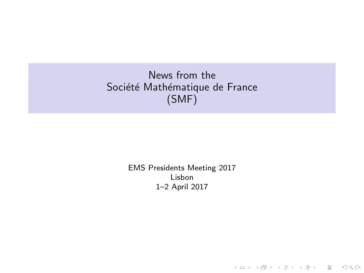# News from the Société Mathématique de France (SMF)

EMS Presidents Meeting 2017 Lisbon 1–2 April 2017

K ロ X イロ X K ミ X K ミ X ミ X Y Q Q Q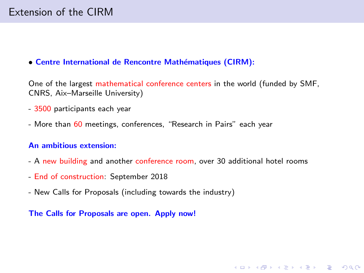#### • Centre International de Rencontre Mathématiques (CIRM):

One of the largest mathematical conference centers in the world (funded by SMF, CNRS, Aix–Marseille University)

- 3500 participants each year
- More than 60 meetings, conferences, "Research in Pairs" each year

### An ambitious extension:

- A new building and another conference room, over 30 additional hotel rooms

**KORK STRAIN A BAR SHOP** 

- End of construction: September 2018
- New Calls for Proposals (including towards the industry)

The Calls for Proposals are open. Apply now!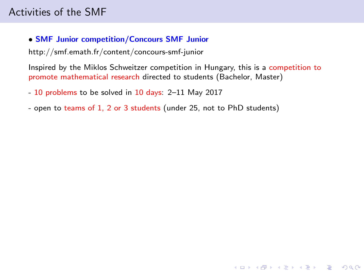# • SMF Junior competition/Concours SMF Junior

http://smf.emath.fr/content/concours-smf-junior

Inspired by the Miklos Schweitzer competition in Hungary, this is a competition to promote mathematical research directed to students (Bachelor, Master)

**KORKA SERKER ORA** 

- 10 problems to be solved in 10 days: 2-11 May 2017
- open to teams of 1, 2 or 3 students (under 25, not to PhD students)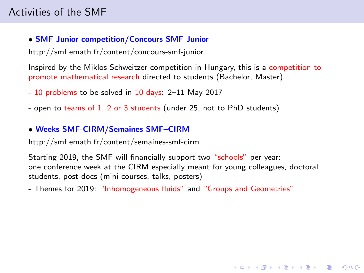## • SMF Junior competition/Concours SMF Junior

http://smf.emath.fr/content/concours-smf-junior

Inspired by the Miklos Schweitzer competition in Hungary, this is a competition to promote mathematical research directed to students (Bachelor, Master)

- 10 problems to be solved in 10 days: 2–11 May 2017
- open to teams of 1, 2 or 3 students (under 25, not to PhD students)

# • Weeks SMF-CIRM/Semaines SMF–CIRM

http://smf.emath.fr/content/semaines-smf-cirm

Starting 2019, the SMF will financially support two "schools" per year: one conference week at the CIRM especially meant for young colleagues, doctoral students, post-docs (mini-courses, talks, posters)

**KORKA SERKER ORA** 

- Themes for 2019: "Inhomogeneous fluids" and "Groups and Geometries"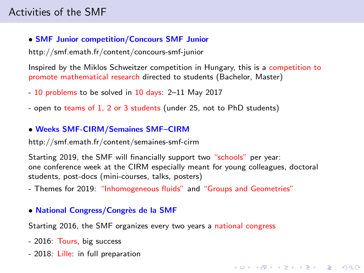## • SMF Junior competition/Concours SMF Junior

http://smf.emath.fr/content/concours-smf-junior

Inspired by the Miklos Schweitzer competition in Hungary, this is a competition to promote mathematical research directed to students (Bachelor, Master)

- 10 problems to be solved in 10 days: 2–11 May 2017
- open to teams of 1, 2 or 3 students (under 25, not to PhD students)

# • Weeks SMF-CIRM/Semaines SMF–CIRM

http://smf.emath.fr/content/semaines-smf-cirm

Starting 2019, the SMF will financially support two "schools" per year: one conference week at the CIRM especially meant for young colleagues, doctoral students, post-docs (mini-courses, talks, posters)

**KORKA SERKER ORA** 

- Themes for 2019: "Inhomogeneous fluids" and "Groups and Geometries"

### • National Congress/Congrès de la SMF

Starting 2016, the SMF organizes every two years a national congress

- 2016: Tours, big success
- 2018: Lille: in full preparation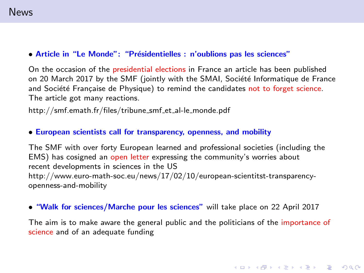#### • Article in "Le Monde": "Présidentielles : n'oublions pas les sciences"

On the occasion of the presidential elections in France an article has been published on 20 March 2017 by the SMF (jointly with the SMAI, Société Informatique de France and Société Française de Physique) to remind the candidates not to forget science. The article got many reactions.

http://smf.emath.fr/files/tribune\_smf\_et\_al-le\_monde.pdf

#### • European scientists call for transparency, openness, and mobility

The SMF with over forty European learned and professional societies (including the EMS) has cosigned an open letter expressing the community's worries about recent developments in sciences in the US http://www.euro-math-soc.eu/news/17/02/10/european-scientitst-transparencyopenness-and-mobility

#### • "Walk for sciences/Marche pour les sciences" will take place on 22 April 2017

The aim is to make aware the general public and the politicians of the importance of science and of an adequate funding

**KORKA SERKER ORA**